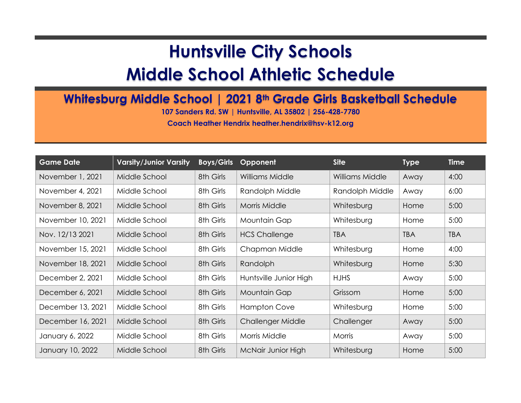## **Huntsville City Schools**

## **Middle School Athletic Schedule**

## **Whitesburg Middle School | 2021 8th Grade Girls Basketball Schedule**

**107 Sanders Rd. SW | Huntsville, AL 35802 | 256-428-7780**

**Coach Heather Hendrix heather.hendrix@hsv-k12.org**

| <b>Game Date</b>  | <b>Varsity/Junior Varsity</b> | <b>Boys/Girls</b> | Opponent               | <b>Site</b>     | <b>Type</b> | <b>Time</b> |
|-------------------|-------------------------------|-------------------|------------------------|-----------------|-------------|-------------|
| November 1, 2021  | Middle School                 | 8th Girls         | Williams Middle        | Williams Middle | Away        | 4:00        |
| November 4, 2021  | Middle School                 | 8th Girls         | Randolph Middle        | Randolph Middle | Away        | 6:00        |
| November 8, 2021  | Middle School                 | 8th Girls         | <b>Morris Middle</b>   | Whitesburg      | Home        | 5:00        |
| November 10, 2021 | Middle School                 | 8th Girls         | Mountain Gap           | Whitesburg      | Home        | 5:00        |
| Nov. 12/13 2021   | Middle School                 | 8th Girls         | <b>HCS Challenge</b>   | <b>TBA</b>      | <b>TBA</b>  | <b>TBA</b>  |
| November 15, 2021 | Middle School                 | 8th Girls         | Chapman Middle         | Whitesburg      | Home        | 4:00        |
| November 18, 2021 | Middle School                 | 8th Girls         | Randolph               | Whitesburg      | Home        | 5:30        |
| December 2, 2021  | Middle School                 | 8th Girls         | Huntsville Junior High | <b>HJHS</b>     | Away        | 5:00        |
| December 6, 2021  | Middle School                 | 8th Girls         | Mountain Gap           | Grissom         | Home        | 5:00        |
| December 13, 2021 | Middle School                 | 8th Girls         | <b>Hampton Cove</b>    | Whitesburg      | Home        | 5:00        |
| December 16, 2021 | Middle School                 | 8th Girls         | Challenger Middle      | Challenger      | Away        | 5:00        |
| January 6, 2022   | Middle School                 | 8th Girls         | Morris Middle          | Morris          | Away        | 5:00        |
| January 10, 2022  | Middle School                 | 8th Girls         | McNair Junior High     | Whitesburg      | Home        | 5:00        |